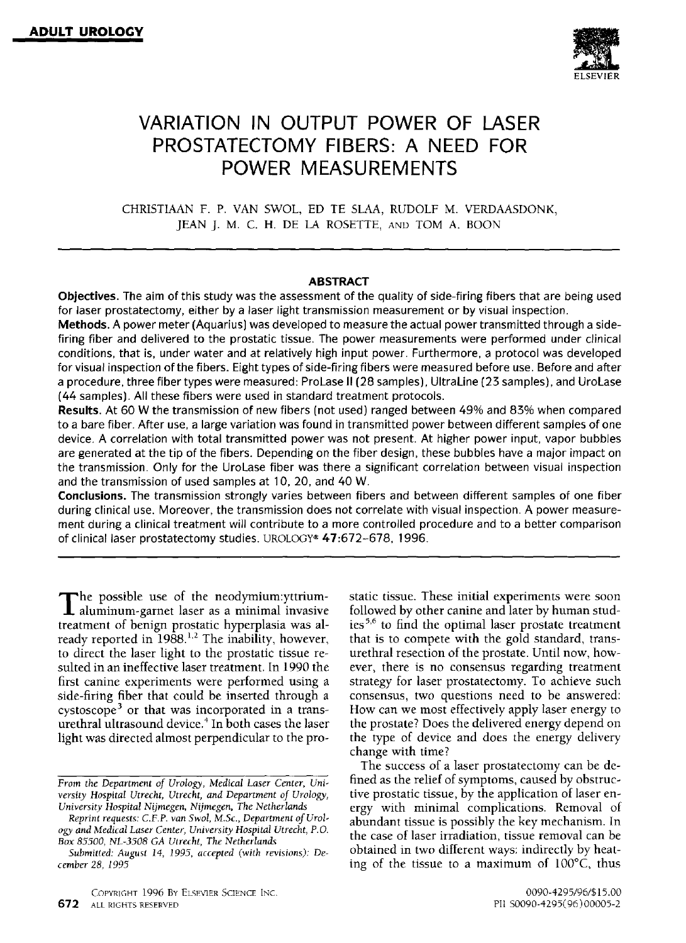

# **VARIATION IN OUTPUT POWER OF LASER PROSTATECTOMY FIBERS: A NEED FOR POWER MEASUREMENTS**

CHRISTIAAN F. P. VAN SWOL, ED TE SLAA, RUDOLF M. VERDAASDONK, JEAN J. M. C. H. DE LA ROSETTE, AND TOM A. BOON

## **ABSTRACT**

**Objectives.** The aim of this study was the assessment of the quality of side-firing fibers that are being used for laser prostatectomy, either by a laser light transmission measurement or by visual inspection.

Methods. A power meter (Aquarius) was developed to measure the actual power transmitted through a sidefiring fiber and delivered to the prostatic tissue. The power measurements were performed under clinical conditions, that is, under water and at relatively high input power. Furthermore, a protocol was developed for visual inspection of the fibers. Eight types of side-firing fibers were measured before use. Before and after a procedure, three fiber types were measured: ProLase II (28 samples), UltraLine (23 samples), and UroLase (44 samples). All these fibers were used in standard treatment protocols.

**Results.** At 60 W the transmission of new fibers (not used) ranged between 49% and 83% when compared to a bare fiber. After use, a large variation was found in transmitted power between different samples of one device. A correlation with total transmitted power was not present. At higher power input, vapor bubbles are generated at the tip of the fibers. Depending on the fiber design, these bubbles have a major impact on the transmission. Only for the UroLase fiber was there a significant correlation between visual inspection and the transmission of used samples at 10, 20, and 40 W.

**Conclusions.** The transmission strongly varies between fibers and between different samples of one fiber during clinical use. Moreover, the transmission does not correlate with visual inspection. A power measurement during a clinical treatment will contribute to a more controlled procedure and to a better comparison of clinical laser prostatectomy studies. UROLOGY® 47:672-678, 1996.

The possible use of the neodymium:yttrium-<br>aluminum-garnet laser as a minimal invasive treatment of benign prostatic hyperplasia was already reported in 1988.<sup>1,2</sup> The inability, however, to direct the laser light to the prostatic tissue resulted in an ineffective laser treatment, In 1990 the first canine experiments were performed using a side-firing fiber that could be inserted through a cystoscope<sup>3</sup> or that was incorporated in a transurethral ultrasound device.<sup>4</sup> In both cases the laser light was directed almost perpendicular to the **pro-**

*Reprint requests: C.F.P. van Swol, M.Sc., Department of Urology and Medical Laser Center, University Hospital Utrecht, P.O. Box 85500, NL-3508 GA Utrecht, The Netherlands* 

COPYRIGHT 1996 BY ELSEVIER SCIENCE INC. 0090-4295/96/\$15.00

followed by other canine and later by human studies<sup> $5,6$ </sup> to find the optimal laser prostate treatment that is to compete with the gold standard, transurethral resection of the prostate. Until now, however, there is no consensus regarding treatment strategy for laser prostatectomy. To achieve such consensus, two questions need to be answered: How can we most effectively apply laser energy to the prostate? Does the delivered energy depend on the type of device and does the energy delivery change with time? The success of a laser prostatectomy can be de-

static tissue. These initial experiments were soon

fined as the relief of symptoms, caused by obstructive prostatic tissue, by the application of laser energy with minimal complications. Removal of abundant tissue is possibly the key mechanism. In the case of laser irradiation, tissue removal can be obtained in two different ways: indirectly by heating of the tissue to a maximum of 100°C, thus

*From the Department of Urology, Medical Laser Center, University Hospital Utrecht, Utrecht, and Department of Urology, University Hospital Nijmegen, Nijmegen, The Netherlands* 

*Submitted: August 14, 1995, accepted (with revisions): December 28, 1995*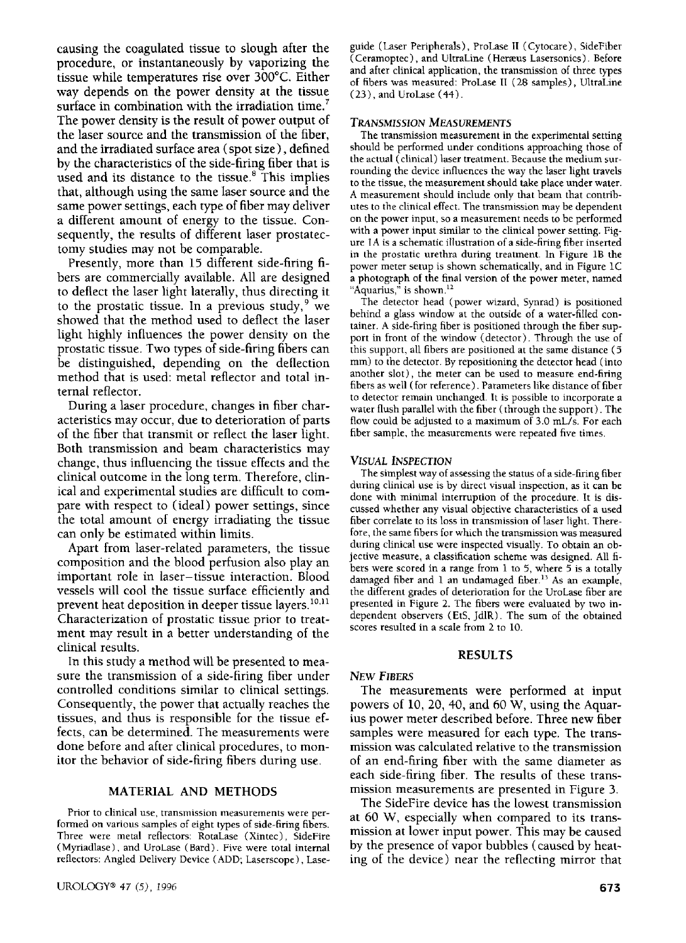causing the coagulated tissue to slough after the procedure, or instantaneously by vaporizing the tissue while temperatures rise over 300°C. Either way depends on the power density at the tissue surface in combination with the irradiation time.<sup>7</sup> The power density is the result of power output of the laser source and the transmission of the fiber, and the irradiated surface area (spot size), defined by the characteristics of the side-firing fiber that is used and its distance to the tissue.<sup>8</sup> This implies that, although using the same laser source and the same power settings, each type of fiber may deliver a different amount of energy to the tissue. Consequently, the results of different laser prostatectomy studies may not be comparable.

Presently, more than 15 different side-firing fibers are commercially available. All are designed to deflect the laser light laterally, thus directing it to the prostatic tissue. In a previous study,  $9$  we showed that the method used to deflect the laser light highly influences the power density on the prostatic tissue. Two types of side-firing fibers can be distinguished, depending on the deflection method that is used: metal reflector and total internal reflector.

During a laser procedure, changes in fiber characteristics may occur, due to deterioration of parts of the fiber that transmit or reflect the laser light. Both transmission and beam characteristics may change, thus influencing the tissue effects and the clinical outcome in the long term. Therefore, clinical and experimental studies are difficult to compare with respect to (ideal) power settings, since the total amount of energy irradiating the tissue can only be estimated within limits.

Apart from laser-related parameters, the tissue composition and the blood perfusion also play an important role in laser-tissue interaction. Blood vessels will cool the tissue surface efficiently and prevent heat deposition in deeper tissue layers.<sup>10,11</sup> Characterization of prostatic tissue prior to treatment may result in a better understanding of the clinical results.

In this study a method will be presented to measure the transmission of a side-firing fiber under controlled conditions similar to clinical settings. Consequently, the power that actually reaches the tissues, and thus is responsible for the tissue effects, can be determined. The measurements were done before and after clinical procedures, to monitor the behavior of side-firing fibers during use.

#### MATERIAL AND METHODS

Prior to clinical use, transmission measurements were performed on various samples of eight types of side-firing fibers. Three were metal reflectors: RotaLase (Xintec), SideFire (Myriadlase), and UroLase (Bard). Five were total internal reflectors: Angled Delivery Device (ADD; Laserscope), Laseguide (Laser Peripherals), ProLase II (Cytocare), SideFiber (Ceramoptec), and UltraLine (Heræus Lasersonics). Before and after clinical application, the transmission of three types of fibers was measured: ProLase II (28 samples), UltraLine (23), and UroLase (44).

#### *TRANSMISSION MEASUREMENTS*

The transmission measurement in the experimental setting should be performed under conditions approaching those of the actual (clinical) laser treatment. Because the medium surrounding the device influences the way the laser light travels to the tissue, the measurement should take place under water. A measurement should include only that beam that contributes to the clinical effect. The transmission may be dependent on the power input, so a measurement needs to be performed with a power input similar to the clinical power setting. Figure 1A is a schematic illustration of a side-firing fiber inserted in the prostatic urethra during treatment. In Figure 1B the power meter setup is shown schematically, and in Figure 1C a photograph of the final version of the power meter, named "Aquarius," is shown. $^{12}$ 

The detector head (power wizard, Synrad) is positioned behind a glass window at the outside of a water-filled container. A side-firing fiber is positioned through the fiber support in front of the window (detector). Through the use of this support, all fibers are positioned at the same distance (5 mm) to the detector. By repositioning the detector head (into another slot), the meter can be used to measure end-firing fibers as well (for reference). Parameters like distance of fiber to detector remain unchanged. It is possible to incorporate a water flush parallel with the fiber (through the support). The flow could be adjusted to a maximum of 3.0 mL/s. For each fiber sample, the measurements were repeated five times.

#### *VISUAL INSPECTION*

The simplest way of assessing the status of a side-firing fiber during clinical use is by direct visual inspection, as it can be done with minimal interruption of the procedure. It is discussed whether any visual objective characteristics of a used fiber correlate to its loss in transmission of laser light. Therefore, the same fibers for which the transmission was measured during clinical use were inspected visually. To obtain an objective measure, a classification scheme was designed. All fibers were scored in a range from 1 to 5, where  $\frac{1}{2}$  is a totally damaged fiber and 1 an undamaged fiber.<sup>13</sup> As an example, the different grades of deterioration for the UroLase fiber are presented in Figure 2. The fibers were evaluated by two independent observers (EtS, JdlR). The sum of the obtained scores resulted in a scale from 2 to 10.

#### RESULTS

### *NEW FIBERS*

The measurements were performed at input powers of 10, 20, 40, and 60 W, using the Aquarius power meter described before. Three new fiber samples were measured for each type. The transmission was calculated relative to the transmission of an end-firing fiber with the same diameter as each side-firing fiber. The results of these transmission measurements are presented in Figure 3.

The SideFire device has the lowest transmission at 60 W, especially when compared to its transmission at lower input power. This may be caused by the presence of vapor bubbles ( caused by heating of the device) near the reflecting mirror that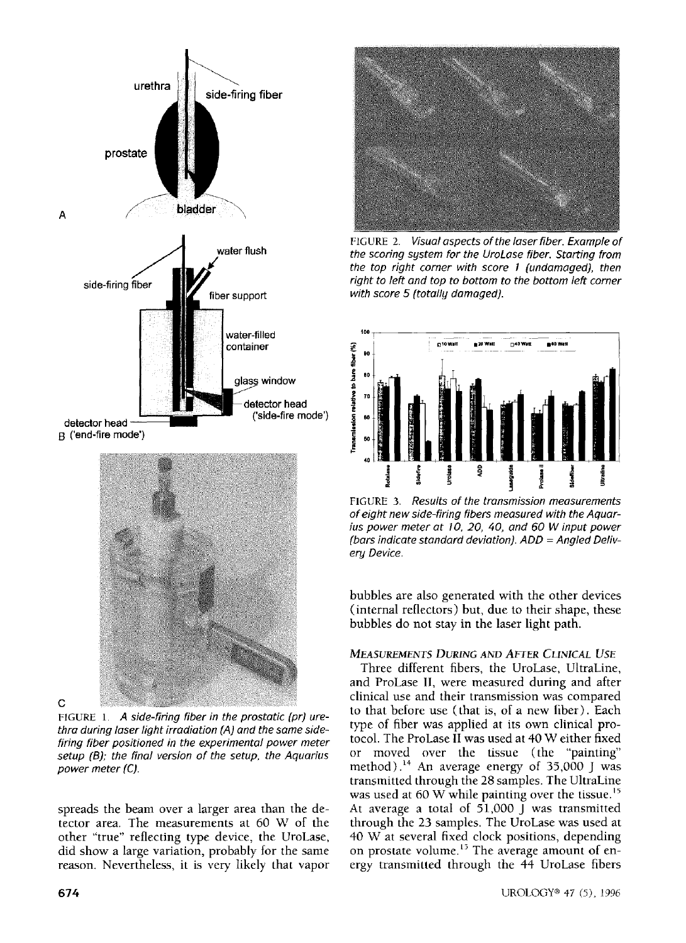

C

FIGURE *1. A side-firing fiber in the prostatic (pr) urethra during laser light irradiation (A) and the same sidefiring fiber positioned in the experimental power meter setup (B); the final version of the setup, the Aquarius power meter (C).* 

spreads the beam over a larger area than the detector area. The measurements at 60 W of the other "true" reflecting type device, the UroLase, did show a large variation, probably for the same reason. Nevertheless, it is very likely that vapor



FIGURE 2. *Visual aspects of the laser fiber. Example of the scoring system for the UroLase fiber. Starting from the top right corner with score I (undamaged), then right to left and top to bottom to the bottom left corner with score 5 (totally damaged).* 



FIGURE 3. *Results of the transmission measurements of eight new side-firing fibers measured with the Aquarius power meter at 10, 20, 40, and 60 W input power (bars indicate standard deviation). ADD = Angled Delivery Device.* 

bubbles are also generated with the other devices (internal reflectors) but, due to their shape, these bubbles do not stay in the laser light path.

# *MEASUREMENTS DURING AND AFTER CLINICAL USE*

Three different fibers, the UroLase, UltraLine, and ProLase II, were measured during and after clinical use and their transmission was compared to that before use (that is, of a new fiber). Each type of fiber was applied at its own clinical protocol. The ProLase II was used at 40 W either fixed or moved over the tissue (the "painting" method).<sup>14</sup> An average energy of  $35,000$  J was transmitted through the 28 samples. The UltraLine was used at 60 W while painting over the tissue.<sup>15</sup> At average a total of 51,000 J was transmitted through the 23 samples. The UroLase was used at 40 W at several fixed clock positions, depending on prostate volume.<sup>15</sup> The average amount of energy transmitted through the 44 UroLase fibers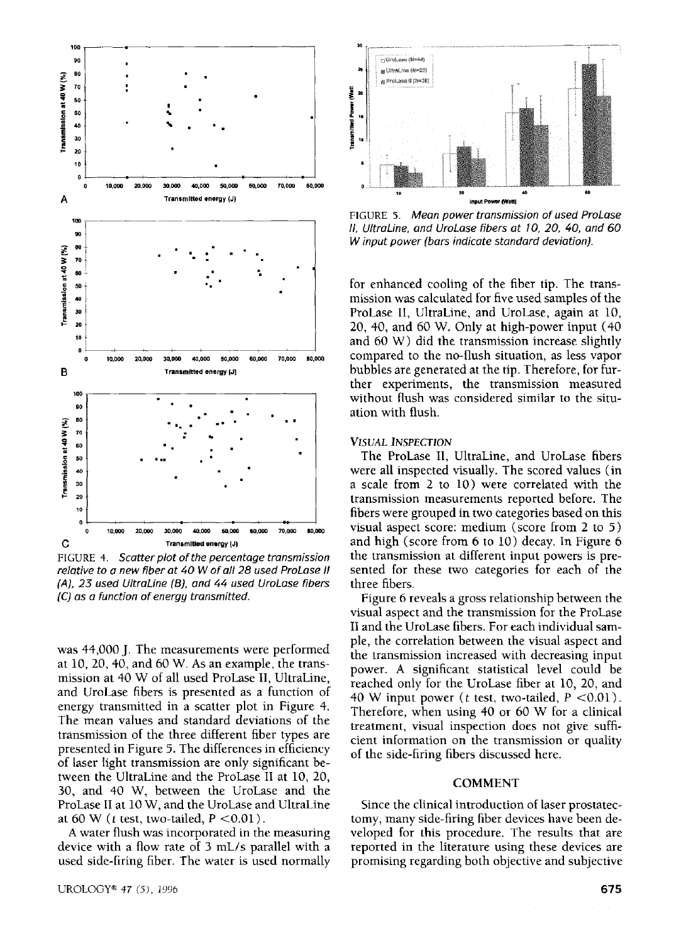

FIGURE 4. *Scatter plot of the percentage transmission relative to a new fiber at 40 W of all 28 used ProLase II (A), 23 used UltraLine (B), and 44 used UroLase fibers (C) as a function of energy transmitted.* 

was 44,000 J. The measurements were performed at 10, 20, 40, and 60 W. As an example, the transmission at 40 W of all used ProLase II, UltraLine, and UroLase fibers is presented as a function of energy transmitted in a scatter plot in Figure 4. The mean values and standard deviations of the transmission of the three different fiber types are presented in Figure 5. The differences in efficiency of laser tight transmission are only significant between the UltraLine and the ProLase II at 10, 20, 30, and 40 W, between the UroLase and the ProLase II at 10 W, and the UroLase and UltraLine at 60 W ( $t$  test, two-tailed,  $P < 0.01$ ).

A water flush was incorporated in the measuring device with a flow rate of 3 mL/s parallel with a used side-firing fiber. The water is used normally



FIGURE 5. *Mean power transmission of used ProLase II, UltraLine, and UroLase fibers at I0, 20, 40, and 60 W input power (bars indicate standard deviation).* 

for enhanced cooling of the fiber tip. The transmission was calculated for five used samples of the ProLase II, UltraLine, and UroLase, again at 10, 20, 40, and 60 W. Only at high-power input (40 and 60 W) did the transmission increase slightly compared to the no-flush situation, as less vapor bubbles are generated at the tip. Therefore, for further experiments, the transmission measured without flush was considered similar to the situation with flush.

#### *VISUAL INSPECTION*

The ProLase II, UltraLine, and UroLase fibers were all inspected visually. The scored values (in a scale from 2 to 10) were correlated with the transmission measurements reported before. The fibers were grouped in two categories based on this visual aspect score: medium (score from 2 to 5) and high (score from 6 to 10) decay. In Figure 6 the transmission at different input powers is presented for these two categories for each of the three fibers.

Figure 6 reveals a gross relationship between the visual aspect and the transmission for the ProLase II and the UroLase fibers. For each individual sample, the correlation between the visual aspect and the transmission increased with decreasing input power. A significant statistical level could be reached only for the UroLase fiber at 10, 20, and 40 W input power (*t* test, two-tailed,  $P < 0.01$ ). Therefore, when using 40 or 60 W for a clinical treatment, visual inspection does not give sufficient information on the transmission or quality of the side-firing fibers discussed here.

#### COMMENT

Since the clinical introduction of laser prostatectomy, many side-firing fiber devices have been developed for this procedure. The results that are reported in the literature using these devices are promising regarding both objective and subjective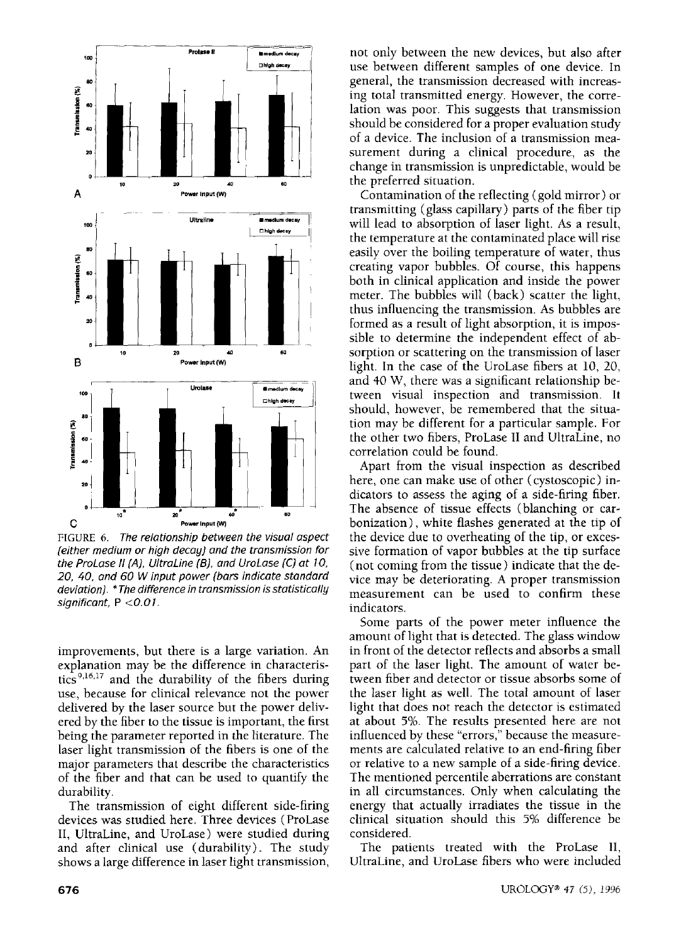

FIGURE 6. *The relationship between the visual aspect (either medium or high decay) and the transmission for the ProLase II (A), UltraLine (B), and UroLase (C) at I O, 20, 40, and 60 W input power (bars indicate standard deviation). \* The difference in transmission is statistically significant, P <0.01.* 

improvements, but there is a large variation. An explanation may be the difference in characteristics<sup>9,16,17</sup> and the durability of the fibers during use, because for clinical relevance not the power delivered by the laser source but the power delivered by the fiber to the tissue is important, the first being the parameter reported in the literature. The laser light transmission of the fibers is one of the major parameters that describe the characteristics of the fiber and that can be used to quantify the durability.

The transmission of eight different side-firing devices was studied here. Three devices (ProLase II, UhraLine, and UroLase) were studied during and after clinical use (durability). The study shows a large difference in laser light transmission,

not only between the new devices, but also after use between different samples of one device. In general, the transmission decreased with increasing total transmitted energy. However, the correlation was poor. This suggests that transmission should be considered for a proper evaluation study of a device. The inclusion of a transmission measurement during a clinical procedure, as the change in transmission is unpredictable, would be the preferred situation.

Contamination of the reflecting (gold mirror) or transmitting (glass capillary) parts of the fiber tip will lead to absorption of laser light. As a result, the temperature at the contaminated place will rise easily over the boiling temperature of water, thus creating vapor bubbles. Of course, this happens both in clinical application and inside the power meter. The bubbles will (back) scatter the light, thus influencing the transmission. As bubbles are formed as a result of light absorption, it is impossible to determine the independent effect of absorption or scattering on the transmission of laser light. In the case of the UroLase fibers at 10, 20, and 40 W, there was a significant relationship between visual inspection and transmission. It should, however, be remembered that the situation may be different for a particular sample. For the other two fibers, ProLase II and UhraLine, no correlation could be found.

Apart from the visual inspection as described here, one can make use of other (cystoscopic) indicators to assess the aging of a side-firing fiber. The absence of tissue effects (blanching or carbonization), white flashes generated at the tip of the device due to overheating of the tip, or excessive formation of vapor bubbles at the tip surface (not coming from the tissue) indicate that the device may be deteriorating. A proper transmission measurement can be used to confirm these indicators.

Some parts of the power meter influence the amount of light that is detected. The glass window in front of the detector reflects and absorbs a small part of the laser light. The amount of water between fiber and detector or tissue absorbs some of the laser light as well. The total amount of laser light that does not reach the detector is estimated at about 5%. The results presented here are not influenced by these "errors," because the measurements are calculated relative to an end-firing fiber or relative to a new sample of a side-firing device. The mentioned percentile aberrations are constant in all circumstances. Only when calculating the energy that actually irradiates the tissue in the clinical situation should this 5% difference be considered.

The patients treated with the ProLase II, UhraLine, and UroLase fibers who were included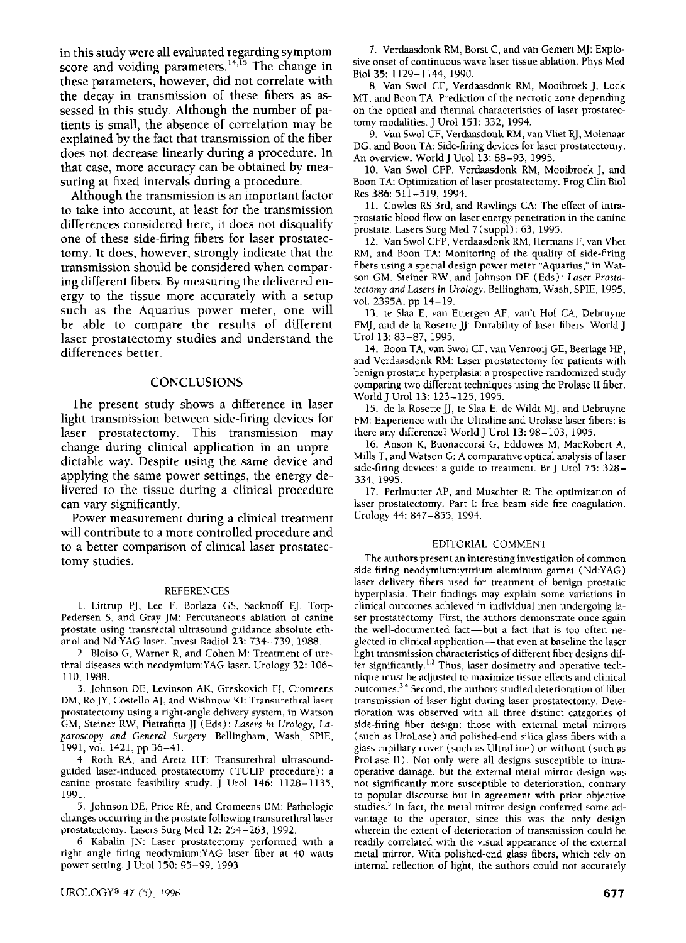in this study were all evaluated regarding symptom score and voiding parameters.<sup>14,15</sup> The change in these parameters, however, did not correlate with the decay in transmission of these fibers as assessed in this study. Although the number of patients is small, the absence of correlation may be explained by the fact that transmission of the fiber does not decrease linearly during a procedure. In that case, more accuracy can be obtained by measuring at fixed intervals during a procedure.

Although the transmission is an important factor to take into account, at least for the transmission differences considered here, it does not disqualify one of these side-firing fibers for laser prostatectomy. It does, however, strongly indicate that the transmission should be considered when comparing different fibers. By measuring the delivered energy to the tissue more accurately with a setup such as the Aquarius power meter, one will be able to compare the results of different laser prostatectomy studies and understand the differences better.

### **CONCLUSIONS**

The present study shows a difference in laser light transmission between side-firing devices for laser prostatectomy. This transmission may change during clinical application in an unpredictable way. Despite using the same device and applying the same power settings, the energy delivered to the tissue during a clinical procedure can vary significantly.

Power measurement during a clinical treatment will contribute to a more controlled procedure and to a better comparison of clinical laser prostatectomy studies.

#### REFERENCES

1. Littrup PJ, Lee F, Borlaza GS, Sacknoff EJ, Torp-Pedersen S, and Gray JM: Percutaneous ablation of canine prostate using transrectal ultrasound guidance absolute ethanol and Nd:YAG laser. Invest Radiol 23: 734-739, 1988.

2. Bloiso G, Warner R, and Cohen M: Treatment of urethral diseases with neodymium:YAG laser. Urology 32: 106- 110, 1988.

3. Johnson DE, Levinson AK, Greskovich FJ, Cromeens DM, Ro JY, Costello AJ, and Wishnow KI: Transurethral laser prostatectomy using a right-angle delivery system, in Watson GM, Steiner RW, Pietrafitta JJ (Eds): *Lasers in Urology, Laparoscopy and General Surgery.* Bellingham, Wash, SPIE, 1991, vol. 1421, pp 36-41.

4. Roth RA, and Aretz HT: Transurethral ultrasoundguided laser-induced prostatectomy (TULIP procedure): a canine prostate feasibility study. J Urol 146: 1128-1135, 1991.

5. Johnson DE, Price RE, and Cromeens DM: Pathologic changes occurring in the prostate following transurethral laser prostatectomy. Lasers Surg Med 12: 254-263, 1992.

6. Kabalin JN: Laser prostatectomy performed with a right angle firing neodymium:YAG laser fiber at 40 watts power setting. J Urol 150: 95-99, 1993.

7. Verdaasdonk RM, Borst C, and van Gemert MJ: Explosive onset of continuous wave laser tissue ablation. Phys Med Biol 35: 1129-1144, 1990.

8. Van Swol CF, Verdaasdonk RM, Mooibroek J, Lock MT, and Boon TA: Prediction of the necrotic zone depending on the optical and thermal characteristics of laser prostatectomy modalities. J Urol 151: 332, 1994.

9. Van Swol CF, Verdaasdonk RM, van Vliet RJ, Molenaar DG, and Boon TA: Side-firing devices for laser prostatectomy. An overview. World J Urol 13: 88-93, 1995.

10. Van Swol CFP, Verdaasdonk RM, Mooibroek J, and Boon TA: Optimization of laser prostatectomy. Prog Clin Biol Res 386: 511-519, 1994.

11. Cowles RS 3rd, and Rawlings CA: The effect of intraprostatic blood flow on laser energy penetration in the canine prostate. Lasers Surg Med 7 (suppl): 63, 1995.

12. Van Swol CFP, Verdaasdonk RM, Hermans F, van Vliet RM, and Boon TA: Monitoring of the quality of side-firing fibers using a special design power meter "Aquarius," in Watson GM, Steiner RW, and Johnson DE (Eds): *Laser Prostatectomy and Lasers in Urology.* Bellingham, Wash, SPIE, 1995, vol. 2395A, pp 14-19.

13. te Slaa E, van Ettergen AF, van't Hof CA, Debruyne FMJ, and de la Rosette JJ: Durability of laser fibers. World J Urol 13: 83-87, 1995.

14. Boon TA, van Swol CF, van Venrooij GE, Beerlage HP, and Verdaasdonk RM: Laser prostatectomy for patients with benign prostatic hyperplasia: a prospective randomized study comparing two different techniques using the Prolase II fiber. WorldJ Urol 13: 123-125, 1995.

15. de la Rosette JJ, te Slaa E, de Wildt MJ, and Debruyne FM: Experience with the Ultraline and Urolase laser fibers: is there any difference? World J Urol 13: 98-103, 1995.

16. Anson K, Buonaccorsi G, Eddowes M, MacRobert A, Mills T, and Watson G: A comparative optical analysis of laser side-firing devices: a guide to treatment. Br J Urol 75: 328- 334, 1995.

17. Perlmutter AP, and Muschter R: The optimization of laser prostatectomy. Part I: free beam side fire coagulation. Urology 44: 847-855, 1994.

#### EDITORIAL COMMENT

The authors present an interesting investigation of common side-firing neodymium:yttrium-aluminum-garnet (Nd:YAG) laser delivery fibers used for treatment of benign prostatic hyperplasia. Their findings may explain some variations in clinical outcomes achieved in individual men undergoing laser prostatectomy. First, the authors demonstrate once again the well-documented fact--but a fact that is too often neglected in clinical application--that even at baseline the laser light transmission characteristics of different fiber designs differ significantly.<sup>1.2</sup> Thus, laser dosimetry and operative technique must be adjusted to maximize tissue effects and clinical outcomes. 3'4 Second, the authors studied deterioration of fiber transmission of laser light during laser prostatectomy. Deterioration was observed with all three distinct categories of side-firing fiber design: those with external metal mirrors (such as UroLase) and polished-end silica glass fibers with a glass capillary cover (such as UhraLine) or without (such as ProLase lI). Not only were all designs susceptible to intraoperative damage, but the external metal mirror design was not significantly more susceptible to deterioration, contrary to popular discourse but in agreement with prior objective studies.<sup>5</sup> In fact, the metal mirror design conferred some advantage to the operator, since this was the only design wherein the extent of deterioration of transmission could be readily correlated with the visual appearance of the external metal mirror. With polished-end glass fibers, which rely on internal reflection of light, the authors could not accurately